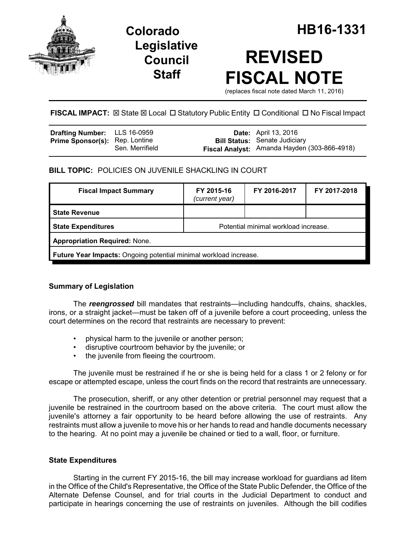

## **Legislative Council Staff**

# **REVISED FISCAL NOTE**

(replaces fiscal note dated March 11, 2016)

FISCAL IMPACT:  $\boxtimes$  State  $\boxtimes$  Local  $\Box$  Statutory Public Entity  $\Box$  Conditional  $\Box$  No Fiscal Impact

| <b>Drafting Number:</b> LLS 16-0959   |                 | <b>Date:</b> April 13, 2016                                                          |
|---------------------------------------|-----------------|--------------------------------------------------------------------------------------|
| <b>Prime Sponsor(s):</b> Rep. Lontine | Sen. Merrifield | <b>Bill Status:</b> Senate Judiciary<br>Fiscal Analyst: Amanda Hayden (303-866-4918) |

**BILL TOPIC:** POLICIES ON JUVENILE SHACKLING IN COURT

| <b>Fiscal Impact Summary</b>                                      | FY 2015-16<br>(current year)         | FY 2016-2017 | FY 2017-2018 |  |  |  |
|-------------------------------------------------------------------|--------------------------------------|--------------|--------------|--|--|--|
| <b>State Revenue</b>                                              |                                      |              |              |  |  |  |
| <b>State Expenditures</b>                                         | Potential minimal workload increase. |              |              |  |  |  |
| <b>Appropriation Required: None.</b>                              |                                      |              |              |  |  |  |
| Future Year Impacts: Ongoing potential minimal workload increase. |                                      |              |              |  |  |  |

## **Summary of Legislation**

The *reengrossed* bill mandates that restraints—including handcuffs, chains, shackles, irons, or a straight jacket—must be taken off of a juvenile before a court proceeding, unless the court determines on the record that restraints are necessary to prevent:

- physical harm to the juvenile or another person;
- disruptive courtroom behavior by the juvenile; or
- the juvenile from fleeing the courtroom.

The juvenile must be restrained if he or she is being held for a class 1 or 2 felony or for escape or attempted escape, unless the court finds on the record that restraints are unnecessary.

The prosecution, sheriff, or any other detention or pretrial personnel may request that a juvenile be restrained in the courtroom based on the above criteria. The court must allow the juvenile's attorney a fair opportunity to be heard before allowing the use of restraints. Any restraints must allow a juvenile to move his or her hands to read and handle documents necessary to the hearing. At no point may a juvenile be chained or tied to a wall, floor, or furniture.

## **State Expenditures**

Starting in the current FY 2015-16, the bill may increase workload for guardians ad litem in the Office of the Child's Representative, the Office of the State Public Defender, the Office of the Alternate Defense Counsel, and for trial courts in the Judicial Department to conduct and participate in hearings concerning the use of restraints on juveniles. Although the bill codifies